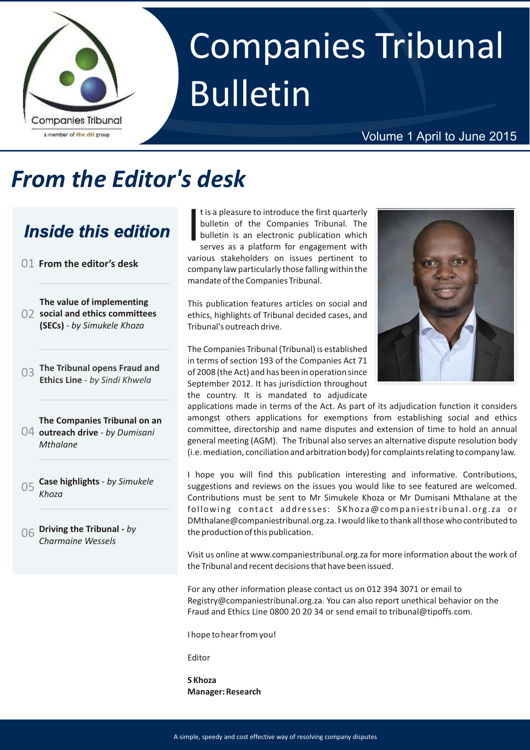

# Companies Tribunal Bulletin

#### Volume 1 April to June 2015

# *From the Editor's desk*

### *Inside this edition*

- 01 **From the editor's desk**
- **The value of implementing social and ethics committees**  02 **(SECs)** *- by Simukele Khoza*
- **The Tribunal opens Fraud and Ethics Line** *- by Sindi Khwela* <sup>03</sup>
- **The Companies Tribunal on an outreach drive** *- by Dumisani*  04 *Mthalane*
- 05 **Case highlights**  *by Simukele Khoza*
- **Driving the Tribunal** *by*  06 *Charmaine Wessels*

t is a pleasure to introduce the first quarterly bulletin of the Companies Tribunal. The bulletin is an electronic publication which serves as a platform for engagement with various stakeholders on issues pertinent to company law particularly those falling within the mandate of the Companies Tribunal.

This publication features articles on social and ethics, highlights of Tribunal decided cases, and Tribunal's outreach drive.

The Companies Tribunal (Tribunal) is established in terms of section 193 of the Companies Act 71 of 2008 (the Act) and has been in operation since September 2012. It has jurisdiction throughout the country. It is mandated to adjudicate



applications made in terms of the Act. As part of its adjudication function it considers amongst others applications for exemptions from establishing social and ethics committee, directorship and name disputes and extension of time to hold an annual general meeting (AGM). The Tribunal also serves an alternative dispute resolution body (i.e. mediation, conciliation and arbitration body) for complaints relating to company law.

I hope you will find this publication interesting and informative. Contributions, suggestions and reviews on the issues you would like to see featured are welcomed. Contributions must be sent to Mr Simukele Khoza or Mr Dumisani Mthalane at the following contact addresses: SKhoza@companiestribunal.org.za or DMthalane@companiestribunal.org.za. I would like to thank all those who contributed to the production of this publication.

Visit us online at www.companiestribunal.org.za for more information about the work of the Tribunal and recent decisions that have been issued.

For any other information please contact us on 012 394 3071 or email to Registry@companiestribunal.org.za. You can also report unethical behavior on the Fraud and Ethics Line 0800 20 20 34 or send email to tribunal@tipoffs.com.

I hope to hear from you!

Editor

**S Khoza Manager: Research**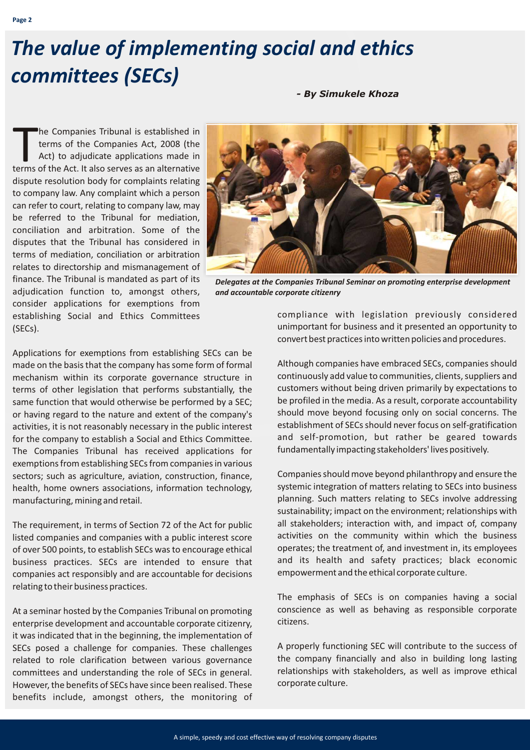# *The value of implementing social and ethics committees (SECs)*

*- By Simukele Khoza*

he Companies Tribunal is established in The Companies Tribunal is established in terms of the Companies Act, 2008 (the Act) to adjudicate applications made in terms of the Act. It also serves as an alternative dispute resolution body for complaints relating to company law. Any complaint which a person can refer to court, relating to company law, may be referred to the Tribunal for mediation, conciliation and arbitration. Some of the disputes that the Tribunal has considered in terms of mediation, conciliation or arbitration relates to directorship and mismanagement of finance. The Tribunal is mandated as part of its adjudication function to, amongst others, consider applications for exemptions from establishing Social and Ethics Committees (SECs).



*Delegates at the Companies Tribunal Seminar on promoting enterprise development and accountable corporate citizenry*

Applications for exemptions from establishing SECs can be made on the basis that the company has some form of formal mechanism within its corporate governance structure in terms of other legislation that performs substantially, the same function that would otherwise be performed by a SEC; or having regard to the nature and extent of the company's activities, it is not reasonably necessary in the public interest for the company to establish a Social and Ethics Committee. The Companies Tribunal has received applications for exemptions from establishing SECs from companies in various sectors; such as agriculture, aviation, construction, finance, health, home owners associations, information technology, manufacturing, mining and retail.

The requirement, in terms of Section 72 of the Act for public listed companies and companies with a public interest score of over 500 points, to establish SECs was to encourage ethical business practices. SECs are intended to ensure that companies act responsibly and are accountable for decisions relating to their business practices.

At a seminar hosted by the Companies Tribunal on promoting enterprise development and accountable corporate citizenry, it was indicated that in the beginning, the implementation of SECs posed a challenge for companies. These challenges related to role clarification between various governance committees and understanding the role of SECs in general. However, the benefits of SECs have since been realised. These benefits include, amongst others, the monitoring of compliance with legislation previously considered unimportant for business and it presented an opportunity to convert best practices into written policies and procedures.

Although companies have embraced SECs, companies should continuously add value to communities, clients, suppliers and customers without being driven primarily by expectations to be profiled in the media. As a result, corporate accountability should move beyond focusing only on social concerns. The establishment of SECs should never focus on self-gratification and self-promotion, but rather be geared towards fundamentally impacting stakeholders' lives positively.

Companies should move beyond philanthropy and ensure the systemic integration of matters relating to SECs into business planning. Such matters relating to SECs involve addressing sustainability; impact on the environment; relationships with all stakeholders; interaction with, and impact of, company activities on the community within which the business operates; the treatment of, and investment in, its employees and its health and safety practices; black economic empowerment and the ethical corporate culture.

The emphasis of SECs is on companies having a social conscience as well as behaving as responsible corporate citizens.

A properly functioning SEC will contribute to the success of the company financially and also in building long lasting relationships with stakeholders, as well as improve ethical corporate culture.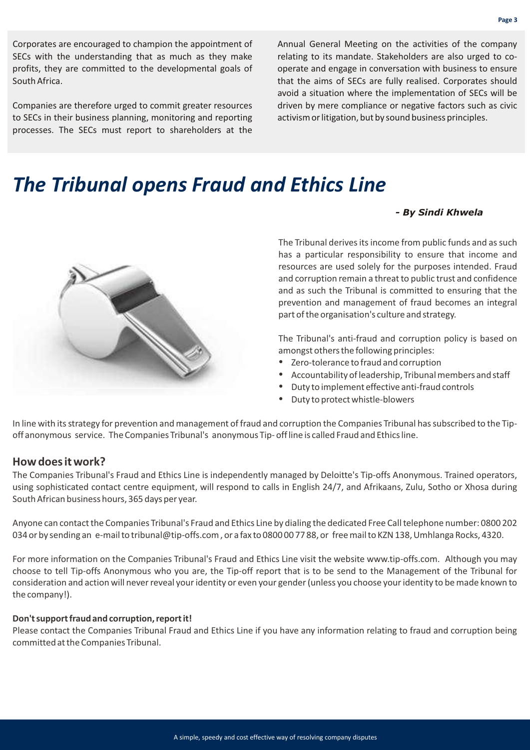Corporates are encouraged to champion the appointment of SECs with the understanding that as much as they make profits, they are committed to the developmental goals of South Africa.

Companies are therefore urged to commit greater resources to SECs in their business planning, monitoring and reporting processes. The SECs must report to shareholders at the Annual General Meeting on the activities of the company relating to its mandate. Stakeholders are also urged to cooperate and engage in conversation with business to ensure that the aims of SECs are fully realised. Corporates should avoid a situation where the implementation of SECs will be driven by mere compliance or negative factors such as civic activism or litigation, but by sound business principles.

### *The Tribunal opens Fraud and Ethics Line*

#### *- By Sindi Khwela*

The Tribunal derives its income from public funds and as such has a particular responsibility to ensure that income and resources are used solely for the purposes intended. Fraud and corruption remain a threat to public trust and confidence and as such the Tribunal is committed to ensuring that the prevention and management of fraud becomes an integral part of the organisation's culture and strategy.

The Tribunal's anti-fraud and corruption policy is based on amongst others the following principles:<br>• Zero-tolerance to fraud and corruption

- 
- ? Zero-tolerance to fraud and corruption
- ? Accountability of leadership, Tribunal members and staff Duty to implement effective anti-fraud controls
- Duty to protect whistle-blowers

In line with its strategy for prevention and management of fraud and corruption the Companies Tribunal has subscribed to the Tipoff anonymous service. The Companies Tribunal's anonymous Tip- off line is called Fraud and Ethics line.

#### **How does it work?**

The Companies Tribunal's Fraud and Ethics Line is independently managed by Deloitte's Tip-offs Anonymous. Trained operators, using sophisticated contact centre equipment, will respond to calls in English 24/7, and Afrikaans, Zulu, Sotho or Xhosa during South African business hours, 365 days per year.

Anyone can contact the Companies Tribunal's Fraud and Ethics Line by dialing the dedicated Free Call telephone number: 0800 202 034 or by sending an e-mail to tribunal@tip-offs.com , or a fax to 0800 00 77 88, or free mail to KZN 138, Umhlanga Rocks, 4320.

For more information on the Companies Tribunal's Fraud and Ethics Line visit the website www.tip-offs.com. Although you may choose to tell Tip-offs Anonymous who you are, the Tip-off report that is to be send to the Management of the Tribunal for consideration and action will never reveal your identity or even your gender (unless you choose your identity to be made known to the company!).

#### **Don't support fraud and corruption, report it!**

Please contact the Companies Tribunal Fraud and Ethics Line if you have any information relating to fraud and corruption being committed at the Companies Tribunal.

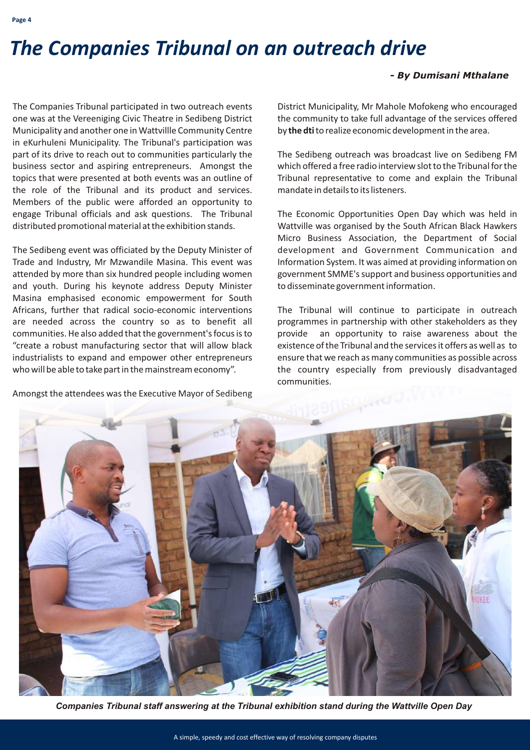### *The Companies Tribunal on an outreach drive*

#### *- By Dumisani Mthalane*

The Companies Tribunal participated in two outreach events one was at the Vereeniging Civic Theatre in Sedibeng District Municipality and another one in Wattvillle Community Centre in eKurhuleni Municipality. The Tribunal's participation was part of its drive to reach out to communities particularly the business sector and aspiring entrepreneurs. Amongst the topics that were presented at both events was an outline of the role of the Tribunal and its product and services. Members of the public were afforded an opportunity to engage Tribunal officials and ask questions. The Tribunal distributed promotional material at the exhibition stands.

The Sedibeng event was officiated by the Deputy Minister of Trade and Industry, Mr Mzwandile Masina. This event was attended by more than six hundred people including women and youth. During his keynote address Deputy Minister Masina emphasised economic empowerment for South Africans, further that radical socio-economic interventions are needed across the country so as to benefit all communities. He also added that the government's focus is to "create a robust manufacturing sector that will allow black industrialists to expand and empower other entrepreneurs who will be able to take part in the mainstream economy".

Amongst the attendees was the Executive Mayor of Sedibeng

District Municipality, Mr Mahole Mofokeng who encouraged the community to take full advantage of the services offered by **the dti**to realize economic development in the area.

The Sedibeng outreach was broadcast live on Sedibeng FM which offered a free radio interview slot to the Tribunal for the Tribunal representative to come and explain the Tribunal mandate in details to its listeners.

The Economic Opportunities Open Day which was held in Wattville was organised by the South African Black Hawkers Micro Business Association, the Department of Social development and Government Communication and Information System. It was aimed at providing information on government SMME's support and business opportunities and to disseminate government information.

The Tribunal will continue to participate in outreach programmes in partnership with other stakeholders as they provide an opportunity to raise awareness about the existence of the Tribunal and the services it offers as well as to ensure that we reach as many communities as possible across the country especially from previously disadvantaged communities.



*Companies Tribunal staff answering at the Tribunal exhibition stand during the Wattville Open Day*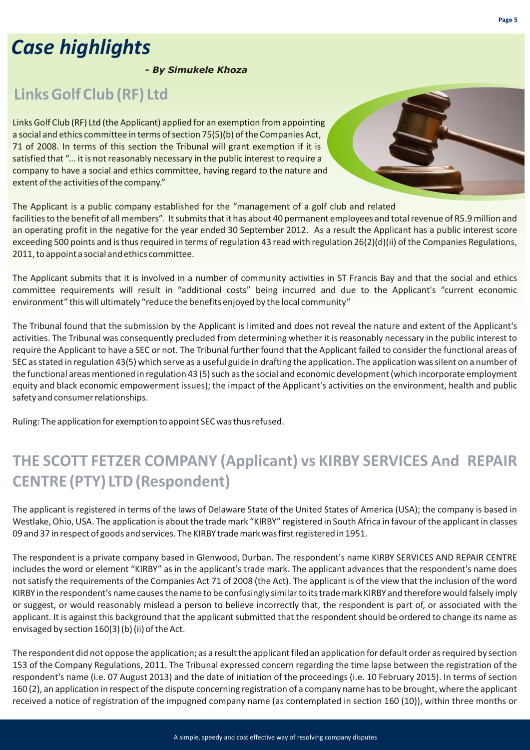# *Case highlights*

*- By Simukele Khoza*

### **Links Golf Club (RF) Ltd**

Links Golf Club (RF) Ltd (the Applicant) applied for an exemption from appointing a social and ethics committee in terms of section 75(5)(b) of the Companies Act, 71 of 2008. In terms of this section the Tribunal will grant exemption if it is satisfied that "... it is not reasonably necessary in the public interest to require a company to have a social and ethics committee, having regard to the nature and extent of the activities of the company."

The Applicant is a public company established for the "management of a golf club and related facilities to the benefit of all members". It submits that it has about 40 permanent employees and total revenue of R5.9 million and an operating profit in the negative for the year ended 30 September 2012. As a result the Applicant has a public interest score exceeding 500 points and is thus required in terms of regulation 43 read with regulation 26(2)(d)(ii) of the Companies Regulations, 2011, to appoint a social and ethics committee.

The Applicant submits that it is involved in a number of community activities in ST Francis Bay and that the social and ethics committee requirements will result in "additional costs" being incurred and due to the Applicant's "current economic environment" this will ultimately "reduce the benefits enjoyed by the local community"

The Tribunal found that the submission by the Applicant is limited and does not reveal the nature and extent of the Applicant's activities. The Tribunal was consequently precluded from determining whether it is reasonably necessary in the public interest to require the Applicant to have a SEC or not. The Tribunal further found that the Applicant failed to consider the functional areas of SEC as stated in regulation 43(5) which serve as a useful guide in drafting the application. The application was silent on a number of the functional areas mentioned in regulation 43 (5) such as the social and economic development (which incorporate employment equity and black economic empowerment issues); the impact of the Applicant's activities on the environment, health and public safety and consumer relationships.

Ruling: The application for exemption to appoint SEC was thus refused.

### **THE SCOTT FETZER COMPANY (Applicant) vs KIRBY SERVICES And REPAIR CENTRE (PTY) LTD (Respondent)**

The applicant is registered in terms of the laws of Delaware State of the United States of America (USA); the company is based in Westlake, Ohio, USA. The application is about the trade mark "KIRBY" registered in South Africa in favour of the applicant in classes 09 and 37 in respect of goods and services. The KIRBY trade mark was first registered in 1951.

The respondent is a private company based in Glenwood, Durban. The respondent's name KIRBY SERVICES AND REPAIR CENTRE includes the word or element "KIRBY" as in the applicant's trade mark. The applicant advances that the respondent's name does not satisfy the requirements of the Companies Act 71 of 2008 (the Act). The applicant is of the view that the inclusion of the word KIRBY in the respondent's name causes the name to be confusingly similar to its trade mark KIRBY and therefore would falsely imply or suggest, or would reasonably mislead a person to believe incorrectly that, the respondent is part of, or associated with the applicant. It is against this background that the applicant submitted that the respondent should be ordered to change its name as envisaged by section 160(3) (b) (ii) of the Act.

The respondent did not oppose the application; as a result the applicant filed an application for default order as required by section 153 of the Company Regulations, 2011. The Tribunal expressed concern regarding the time lapse between the registration of the respondent's name (i.e. 07 August 2013) and the date of initiation of the proceedings (i.e. 10 February 2015). In terms of section 160 (2), an application in respect of the dispute concerning registration of a company name has to be brought, where the applicant received a notice of registration of the impugned company name (as contemplated in section 160 (10)), within three months or